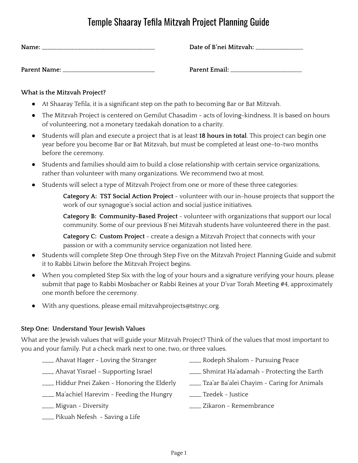## Temple Shaaray Tefila Mitzvah Project Planning Guide

| Name:        | Date of B'nei Mitzvah: |
|--------------|------------------------|
| Parent Name: | Parent Email:          |

## **What is the Mitzvah Project?**

- At Shaaray Tefila, it is a significant step on the path to becoming Bar or Bat Mitzvah.
- The Mitzvah Project is centered on Gemilut Chasadim acts of loving-kindness. It is based on hours of volunteering, not a monetary tzedakah donation to a charity.
- Students will plan and execute a project that is at least **18 hours in total** . This project can begin one year before you become Bar or Bat Mitzvah, but must be completed at least one-to-two months before the ceremony.
- Students and families should aim to build a close relationship with certain service organizations, rather than volunteer with many organizations. We recommend two at most.
- Students will select a type of Mitzvah Project from one or more of these three categories:

**Category A: TST Social Action Project** - volunteer with our in-house projects that support the work of our synagogue's social action and social justice initiatives.

**Category B: Community-Based Project** - volunteer with organizations that support our local community. Some of our previous B'nei Mitzvah students have volunteered there in the past.

**Category C: Custom Project** - create a design a Mitzvah Project that connects with your passion or with a community service organization not listed here.

- Students will complete Step One through Step Five on the Mitzvah Project Planning Guide and submit it to Rabbi Litwin before the Mitzvah Project begins.
- When you completed Step Six with the log of your hours and a signature verifying your hours, please submit that page to Rabbi Mosbacher or Rabbi Reines at your D'var Torah Meeting #4, approximately one month before the ceremony.
- With any questions, please email mitzvahprojects@tstnyc.org.

## **Step One: Understand Your Jewish Values**

What are the Jewish values that will guide your Mitzvah Project? Think of the values that most important to you and your family. Put a check mark next to one, two, or three values.

- \_\_\_\_ Ahavat Hager Loving the Stranger \_\_\_\_ Rodeph Shalom Pursuing Peace
- 
- 
- \_\_\_\_ Ahavat Yisrael Supporting Israel \_\_\_\_ Shmirat Ha'adamah Protecting the Earth
	-
- \_\_\_\_ Hiddur Pnei Zaken Honoring the Elderly \_\_\_\_ Tza'ar Ba'alei Chayim Caring for Animals
- \_\_\_\_ Ma'achiel Harevim Feeding the Hungry \_\_\_\_ Tzedek Justice
- 
- \_\_\_\_ Migvan Diversity \_\_\_\_ Zikaron Remembrance
- \_\_\_\_ Pikuah Nefesh Saving a Life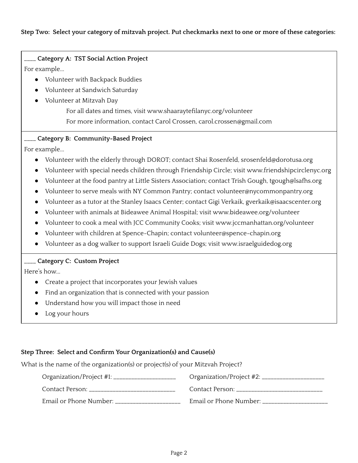### **Step Two: Select your category of mitzvah project. Put checkmarks next to one or more of these categories:**

# \_\_\_\_ **Category A: TST Social Action Project**

For example...

- Volunteer with Backpack Buddies
- Volunteer at Sandwich Saturday
- Volunteer at Mitzvah Day

For all dates and times, visit www.shaaraytefilanyc.org/volunteer For more information, contact Carol Crossen, carol.crossen@gmail.com

## \_\_\_\_ **Category B: Community-Based Project**

For example...

- Volunteer with the elderly through DOROT; contact Shai Rosenfeld, srosenfeld@dorotusa.org
- Volunteer with special needs children through Friendship Circle; visit www.friendshipcirclenyc.org
- Volunteer at the food pantry at Little Sisters Association; contact Trish Gough, tgough@lsafhs.org
- Volunteer to serve meals with NY Common Pantry; contact volunteer@nycommonpantry.org
- Volunteer as a tutor at the Stanley Isaacs Center; contact Gigi Verkaik, gverkaik@isaacscenter.org
- Volunteer with animals at Bideawee Animal Hospital; visit www.bideawee.org/volunteer
- Volunteer to cook a meal with JCC Community Cooks; visit www.jccmanhattan.org/volunteer
- Volunteer with children at Spence-Chapin; contact volunteer@spence-chapin.org
- Volunteer as a dog walker to support Israeli Guide Dogs; visit www.israelguidedog.org

#### \_\_\_\_ **Category C: Custom Project**

Here's how...

- Create a project that incorporates your Jewish values
- Find an organization that is connected with your passion
- Understand how you will impact those in need
- Log your hours

#### **Step Three: Select and Confirm Your Organization(s) and Cause(s)**

What is the name of the organization(s) or project(s) of your Mitzvah Project?

| Organization/Project #1: ___ | Organization/Project #2: ____ |
|------------------------------|-------------------------------|
| Contact Person:              | Contact Person:               |
| Email or Phone Number:       | Email or Phone Number:        |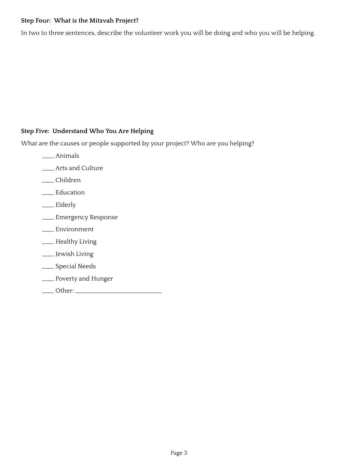## **Step Four: What is the Mitzvah Project?**

In two to three sentences, describe the volunteer work you will be doing and who you will be helping.

## **Step Five: Understand Who You Are Helping**

What are the causes or people supported by your project? Who are you helping?

- \_\_\_\_ Animals
- \_\_\_\_ Arts and Culture
- \_\_\_\_ Children
- \_\_\_\_ Education
- \_\_\_\_ Elderly
- \_\_\_\_ Emergency Response
- \_\_\_\_ Environment
- \_\_\_\_ Healthy Living
- \_\_\_\_ Jewish Living
- \_\_\_\_ Special Needs
- \_\_\_\_ Poverty and Hunger
- \_\_\_\_ Other: \_\_\_\_\_\_\_\_\_\_\_\_\_\_\_\_\_\_\_\_\_\_\_\_\_\_\_\_\_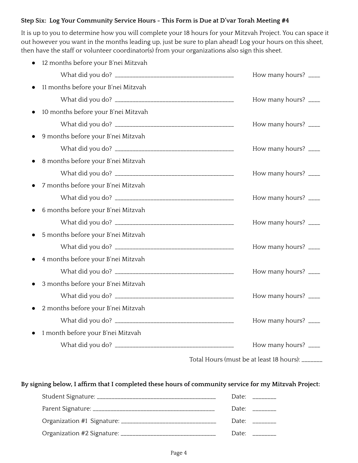## **Step Six: Log Your Community Service Hours - This Form is Due at D'var Torah Meeting #4**

It is up to you to determine how you will complete your 18 hours for your Mitzvah Project. You can space it out however you want in the months leading up, just be sure to plan ahead! Log your hours on this sheet, then have the staff or volunteer coordinator(s) from your organizations also sign this sheet.

| 12 months before your B'nei Mitzvah |                      |
|-------------------------------------|----------------------|
|                                     | How many hours? ____ |
| 11 months before your B'nei Mitzvah |                      |
|                                     | How many hours? ____ |
| 10 months before your B'nei Mitzvah |                      |
|                                     | How many hours? ____ |
| 9 months before your B'nei Mitzvah  |                      |
|                                     | How many hours? ____ |
| 8 months before your B'nei Mitzvah  |                      |
|                                     | How many hours? ____ |
| 7 months before your B'nei Mitzvah  |                      |
|                                     | How many hours? ____ |
| 6 months before your B'nei Mitzvah  |                      |
|                                     | How many hours? ____ |
| 5 months before your B'nei Mitzvah  |                      |
|                                     | How many hours? ____ |
| 4 months before your B'nei Mitzvah  |                      |
|                                     | How many hours? ____ |
| 3 months before your B'nei Mitzvah  |                      |
|                                     | How many hours? ____ |
| 2 months before your B'nei Mitzvah  |                      |
|                                     | How many hours? ____ |
| 1 month before your B'nei Mitzvah   |                      |
|                                     | How many hours? ____ |
|                                     |                      |

Total Hours (must be at least 18 hours): \_\_\_\_\_\_\_

**By signing below, I affirm that I completed these hours of community service for my Mitzvah Project:**

|                 | Date: and the part of the part of the part of the part of the part of the part of the part of the part of the p |
|-----------------|-----------------------------------------------------------------------------------------------------------------|
|                 | Date: ________                                                                                                  |
| Date:           |                                                                                                                 |
| $\text{Date}^*$ |                                                                                                                 |